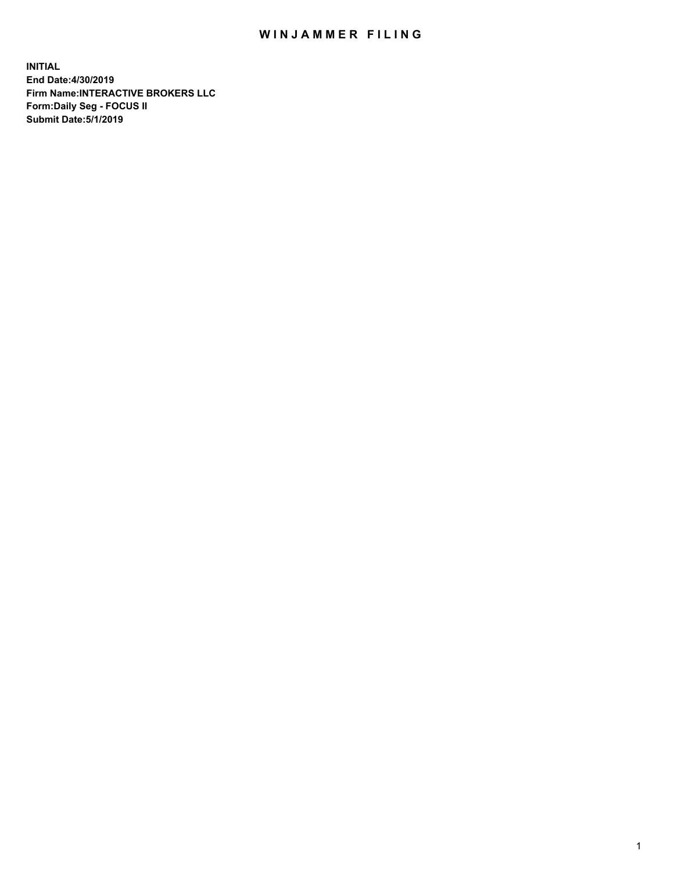## WIN JAMMER FILING

**INITIAL End Date:4/30/2019 Firm Name:INTERACTIVE BROKERS LLC Form:Daily Seg - FOCUS II Submit Date:5/1/2019**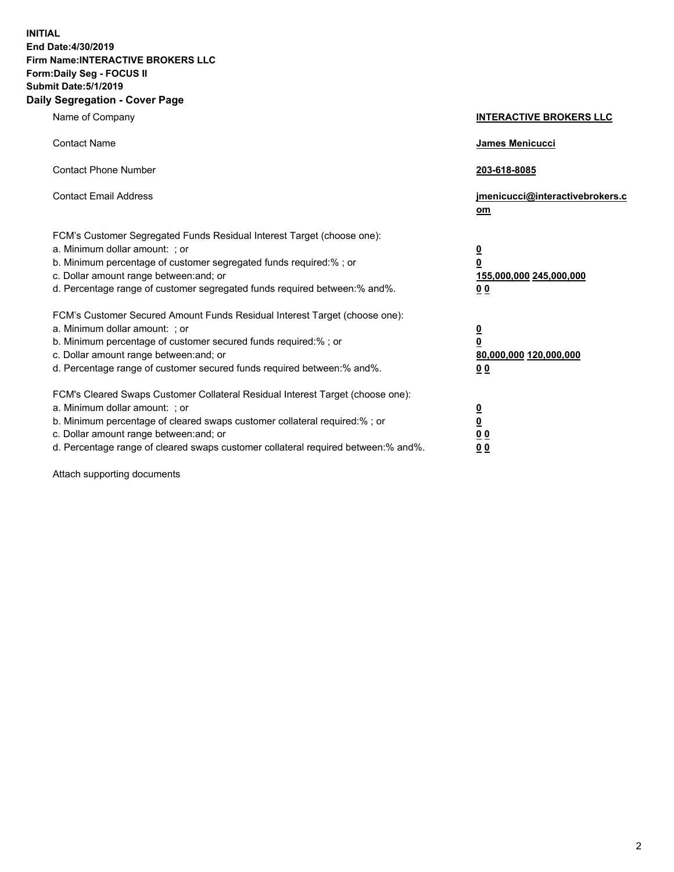**INITIAL End Date:4/30/2019 Firm Name:INTERACTIVE BROKERS LLC Form:Daily Seg - FOCUS II Submit Date:5/1/2019 Daily Segregation - Cover Page**

| Name of Company                                                                                                                                                                                                                                                                                                                | <b>INTERACTIVE BROKERS LLC</b>                                                      |
|--------------------------------------------------------------------------------------------------------------------------------------------------------------------------------------------------------------------------------------------------------------------------------------------------------------------------------|-------------------------------------------------------------------------------------|
| <b>Contact Name</b>                                                                                                                                                                                                                                                                                                            | James Menicucci                                                                     |
| <b>Contact Phone Number</b>                                                                                                                                                                                                                                                                                                    | 203-618-8085                                                                        |
| <b>Contact Email Address</b>                                                                                                                                                                                                                                                                                                   | jmenicucci@interactivebrokers.c<br>om                                               |
| FCM's Customer Segregated Funds Residual Interest Target (choose one):<br>a. Minimum dollar amount: : or<br>b. Minimum percentage of customer segregated funds required:% ; or<br>c. Dollar amount range between: and; or<br>d. Percentage range of customer segregated funds required between:% and%.                         | $\overline{\mathbf{0}}$<br>$\overline{\mathbf{0}}$<br>155,000,000 245,000,000<br>00 |
| FCM's Customer Secured Amount Funds Residual Interest Target (choose one):<br>a. Minimum dollar amount: ; or<br>b. Minimum percentage of customer secured funds required:% ; or<br>c. Dollar amount range between: and; or<br>d. Percentage range of customer secured funds required between:% and%.                           | $\overline{\mathbf{0}}$<br>0<br>80,000,000 120,000,000<br>0 <sub>0</sub>            |
| FCM's Cleared Swaps Customer Collateral Residual Interest Target (choose one):<br>a. Minimum dollar amount: ; or<br>b. Minimum percentage of cleared swaps customer collateral required:% ; or<br>c. Dollar amount range between: and; or<br>d. Percentage range of cleared swaps customer collateral required between:% and%. | <u>0</u><br><u>0</u><br>0 <sub>0</sub><br>0 <sub>0</sub>                            |

Attach supporting documents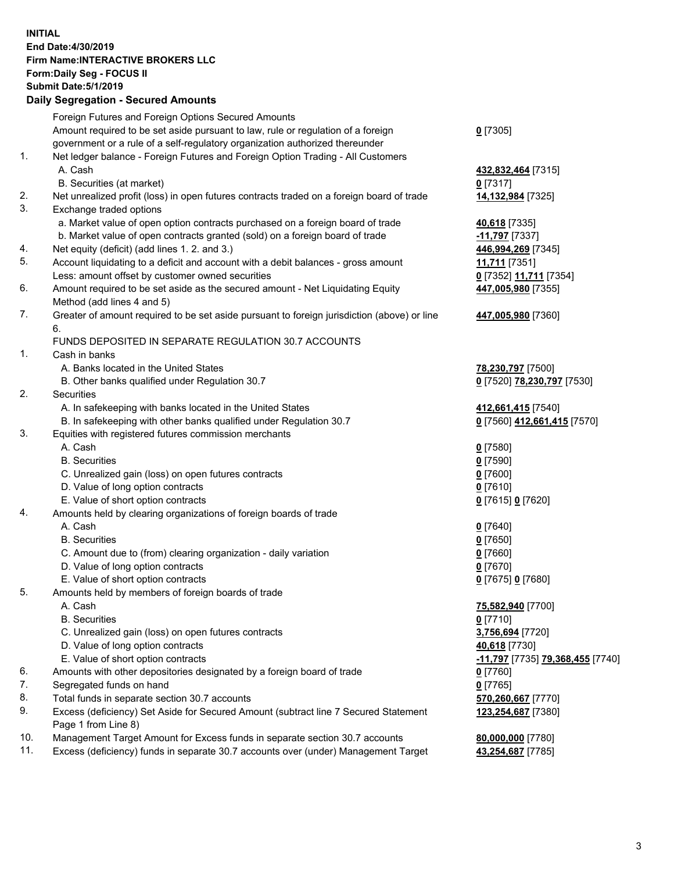## **INITIAL End Date:4/30/2019 Firm Name:INTERACTIVE BROKERS LLC Form:Daily Seg - FOCUS II Submit Date:5/1/2019 Daily Segregation - Secured Amounts**

|          | Foreign Futures and Foreign Options Secured Amounts                                                                                  |                                                            |
|----------|--------------------------------------------------------------------------------------------------------------------------------------|------------------------------------------------------------|
|          | Amount required to be set aside pursuant to law, rule or regulation of a foreign                                                     | $0$ [7305]                                                 |
|          | government or a rule of a self-regulatory organization authorized thereunder                                                         |                                                            |
| 1.       | Net ledger balance - Foreign Futures and Foreign Option Trading - All Customers                                                      |                                                            |
|          | A. Cash                                                                                                                              | 432,832,464 [7315]                                         |
|          | B. Securities (at market)                                                                                                            | $0$ [7317]                                                 |
| 2.       | Net unrealized profit (loss) in open futures contracts traded on a foreign board of trade                                            | 14,132,984 [7325]                                          |
| 3.       | Exchange traded options                                                                                                              |                                                            |
|          | a. Market value of open option contracts purchased on a foreign board of trade                                                       | 40,618 [7335]                                              |
|          | b. Market value of open contracts granted (sold) on a foreign board of trade                                                         | -11,797 [7337]                                             |
| 4.<br>5. | Net equity (deficit) (add lines 1. 2. and 3.)                                                                                        | 446,994,269 [7345]                                         |
|          | Account liquidating to a deficit and account with a debit balances - gross amount                                                    | 11,711 [7351]                                              |
| 6.       | Less: amount offset by customer owned securities                                                                                     | 0 [7352] 11,711 [7354]                                     |
|          | Amount required to be set aside as the secured amount - Net Liquidating Equity                                                       | 447,005,980 [7355]                                         |
| 7.       | Method (add lines 4 and 5)<br>Greater of amount required to be set aside pursuant to foreign jurisdiction (above) or line            | 447,005,980 [7360]                                         |
|          | 6.                                                                                                                                   |                                                            |
|          | FUNDS DEPOSITED IN SEPARATE REGULATION 30.7 ACCOUNTS                                                                                 |                                                            |
| 1.       | Cash in banks                                                                                                                        |                                                            |
|          | A. Banks located in the United States                                                                                                | 78,230,797 [7500]                                          |
|          | B. Other banks qualified under Regulation 30.7                                                                                       | 0 [7520] 78,230,797 [7530]                                 |
| 2.       | Securities                                                                                                                           |                                                            |
|          | A. In safekeeping with banks located in the United States                                                                            | 412,661,415 [7540]                                         |
|          | B. In safekeeping with other banks qualified under Regulation 30.7                                                                   | 0 [7560] 412,661,415 [7570]                                |
| 3.       | Equities with registered futures commission merchants                                                                                |                                                            |
|          | A. Cash                                                                                                                              | $0$ [7580]                                                 |
|          | <b>B.</b> Securities                                                                                                                 | $0$ [7590]                                                 |
|          | C. Unrealized gain (loss) on open futures contracts                                                                                  | $0$ [7600]                                                 |
|          | D. Value of long option contracts                                                                                                    | $0$ [7610]                                                 |
|          | E. Value of short option contracts                                                                                                   | 0 [7615] 0 [7620]                                          |
| 4.       | Amounts held by clearing organizations of foreign boards of trade                                                                    |                                                            |
|          | A. Cash                                                                                                                              | $0$ [7640]                                                 |
|          | <b>B.</b> Securities                                                                                                                 | $0$ [7650]                                                 |
|          | C. Amount due to (from) clearing organization - daily variation                                                                      | $0$ [7660]                                                 |
|          | D. Value of long option contracts                                                                                                    | $0$ [7670]                                                 |
|          | E. Value of short option contracts                                                                                                   | 0 [7675] 0 [7680]                                          |
| 5.       | Amounts held by members of foreign boards of trade                                                                                   |                                                            |
|          | A. Cash                                                                                                                              | 75,582,940 [7700]                                          |
|          | <b>B.</b> Securities                                                                                                                 | $0$ [7710]                                                 |
|          | C. Unrealized gain (loss) on open futures contracts                                                                                  | 3,756,694 [7720]                                           |
|          | D. Value of long option contracts                                                                                                    | 40,618 [7730]                                              |
|          | E. Value of short option contracts<br>Amounts with other depositories designated by a foreign board of trade                         | <mark>-11,797</mark> [7735] <mark>79,368,455</mark> [7740] |
| 6.<br>7. | Segregated funds on hand                                                                                                             | $0$ [7760]                                                 |
| 8.       |                                                                                                                                      | $0$ [7765]                                                 |
| 9.       | Total funds in separate section 30.7 accounts<br>Excess (deficiency) Set Aside for Secured Amount (subtract line 7 Secured Statement | 570,260,667 [7770]                                         |
|          | Page 1 from Line 8)                                                                                                                  | 123,254,687 [7380]                                         |
| 10.      | Management Target Amount for Excess funds in separate section 30.7 accounts                                                          | 80,000,000 [7780]                                          |
| 11.      | Excess (deficiency) funds in separate 30.7 accounts over (under) Management Target                                                   | 43,254,687 [7785]                                          |
|          |                                                                                                                                      |                                                            |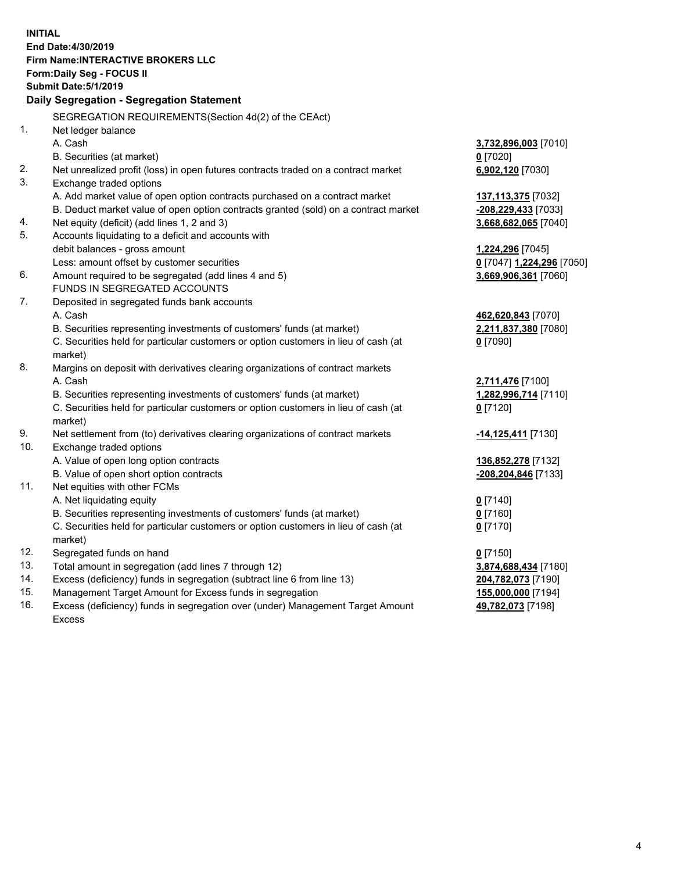**INITIAL End Date:4/30/2019 Firm Name:INTERACTIVE BROKERS LLC Form:Daily Seg - FOCUS II Submit Date:5/1/2019 Daily Segregation - Segregation Statement** SEGREGATION REQUIREMENTS(Section 4d(2) of the CEAct) 1. Net ledger balance A. Cash **3,732,896,003** [7010] B. Securities (at market) **0** [7020] 2. Net unrealized profit (loss) in open futures contracts traded on a contract market **6,902,120** [7030] 3. Exchange traded options A. Add market value of open option contracts purchased on a contract market **137,113,375** [7032] B. Deduct market value of open option contracts granted (sold) on a contract market **-208,229,433** [7033] 4. Net equity (deficit) (add lines 1, 2 and 3) **3,668,682,065** [7040] 5. Accounts liquidating to a deficit and accounts with debit balances - gross amount **1,224,296** [7045] Less: amount offset by customer securities **0** [7047] **1,224,296** [7050] 6. Amount required to be segregated (add lines 4 and 5) **3,669,906,361** [7060] FUNDS IN SEGREGATED ACCOUNTS 7. Deposited in segregated funds bank accounts A. Cash **462,620,843** [7070] B. Securities representing investments of customers' funds (at market) **2,211,837,380** [7080] C. Securities held for particular customers or option customers in lieu of cash (at market) **0** [7090] 8. Margins on deposit with derivatives clearing organizations of contract markets A. Cash **2,711,476** [7100] B. Securities representing investments of customers' funds (at market) **1,282,996,714** [7110] C. Securities held for particular customers or option customers in lieu of cash (at market) **0** [7120] 9. Net settlement from (to) derivatives clearing organizations of contract markets **-14,125,411** [7130] 10. Exchange traded options A. Value of open long option contracts **136,852,278** [7132] B. Value of open short option contracts **-208,204,846** [7133] 11. Net equities with other FCMs A. Net liquidating equity **0** [7140] B. Securities representing investments of customers' funds (at market) **0** [7160] C. Securities held for particular customers or option customers in lieu of cash (at market) **0** [7170] 12. Segregated funds on hand **0** [7150] 13. Total amount in segregation (add lines 7 through 12) **3,874,688,434** [7180] 14. Excess (deficiency) funds in segregation (subtract line 6 from line 13) **204,782,073** [7190] 15. Management Target Amount for Excess funds in segregation **155,000,000** [7194] **49,782,073** [7198]

16. Excess (deficiency) funds in segregation over (under) Management Target Amount Excess